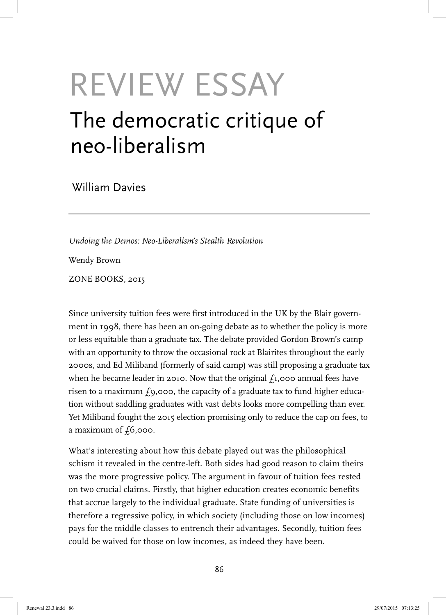## REVIEW ESSAY The democratic critique of neo-liberalism

William Davies

*Undoing the Demos: Neo-Liberalism's Stealth Revolution* Wendy Brown ZONE BOOKS, 2015

Since university tuition fees were first introduced in the UK by the Blair government in 1998, there has been an on-going debate as to whether the policy is more or less equitable than a graduate tax. The debate provided Gordon Brown's camp with an opportunity to throw the occasional rock at Blairites throughout the early 2000s, and Ed Miliband (formerly of said camp) was still proposing a graduate tax when he became leader in 2010. Now that the original  $f_1$ ,000 annual fees have risen to a maximum  $f_9$ ,000, the capacity of a graduate tax to fund higher education without saddling graduates with vast debts looks more compelling than ever. Yet Miliband fought the 2015 election promising only to reduce the cap on fees, to a maximum of  $f_0$ ,000.

What's interesting about how this debate played out was the philosophical schism it revealed in the centre-left. Both sides had good reason to claim theirs was the more progressive policy. The argument in favour of tuition fees rested on two crucial claims. Firstly, that higher education creates economic benefits that accrue largely to the individual graduate. State funding of universities is therefore a regressive policy, in which society (including those on low incomes) pays for the middle classes to entrench their advantages. Secondly, tuition fees could be waived for those on low incomes, as indeed they have been.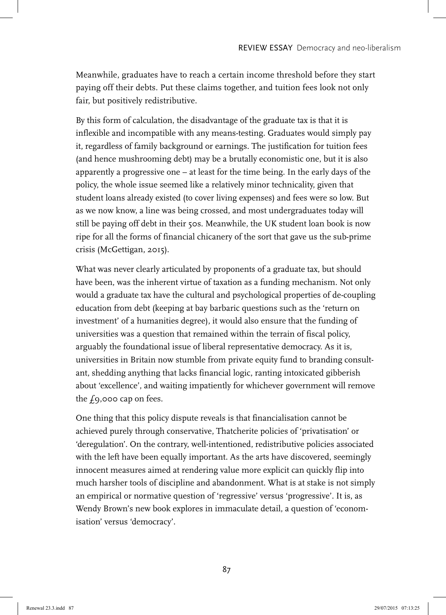Meanwhile, graduates have to reach a certain income threshold before they start paying off their debts. Put these claims together, and tuition fees look not only fair, but positively redistributive.

By this form of calculation, the disadvantage of the graduate tax is that it is inflexible and incompatible with any means-testing. Graduates would simply pay it, regardless of family background or earnings. The justification for tuition fees (and hence mushrooming debt) may be a brutally economistic one, but it is also apparently a progressive one – at least for the time being. In the early days of the policy, the whole issue seemed like a relatively minor technicality, given that student loans already existed (to cover living expenses) and fees were so low. But as we now know, a line was being crossed, and most undergraduates today will still be paying off debt in their 50s. Meanwhile, the UK student loan book is now ripe for all the forms of financial chicanery of the sort that gave us the sub-prime crisis (McGettigan, 2015).

What was never clearly articulated by proponents of a graduate tax, but should have been, was the inherent virtue of taxation as a funding mechanism. Not only would a graduate tax have the cultural and psychological properties of de-coupling education from debt (keeping at bay barbaric questions such as the 'return on investment' of a humanities degree), it would also ensure that the funding of universities was a question that remained within the terrain of fiscal policy, arguably the foundational issue of liberal representative democracy. As it is, universities in Britain now stumble from private equity fund to branding consultant, shedding anything that lacks financial logic, ranting intoxicated gibberish about 'excellence', and waiting impatiently for whichever government will remove the  $f_9$ ,000 cap on fees.

One thing that this policy dispute reveals is that financialisation cannot be achieved purely through conservative, Thatcherite policies of 'privatisation' or 'deregulation'. On the contrary, well-intentioned, redistributive policies associated with the left have been equally important. As the arts have discovered, seemingly innocent measures aimed at rendering value more explicit can quickly flip into much harsher tools of discipline and abandonment. What is at stake is not simply an empirical or normative question of 'regressive' versus 'progressive'. It is, as Wendy Brown's new book explores in immaculate detail, a question of 'economisation' versus 'democracy'.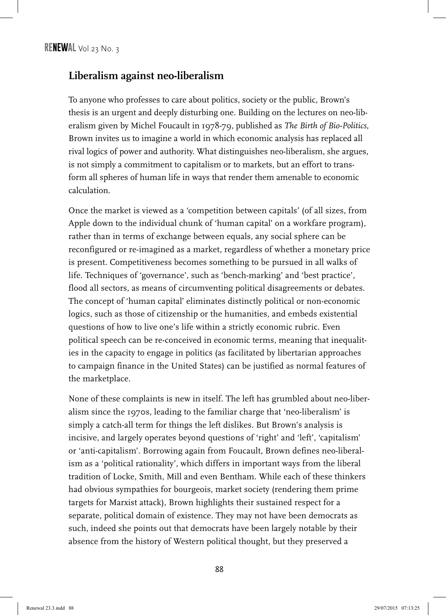## **Liberalism against neo-liberalism**

To anyone who professes to care about politics, society or the public, Brown's thesis is an urgent and deeply disturbing one. Building on the lectures on neo-liberalism given by Michel Foucault in 1978-79, published as *The Birth of Bio-Politics*, Brown invites us to imagine a world in which economic analysis has replaced all rival logics of power and authority. What distinguishes neo-liberalism, she argues, is not simply a commitment to capitalism or to markets, but an effort to transform all spheres of human life in ways that render them amenable to economic calculation.

Once the market is viewed as a 'competition between capitals' (of all sizes, from Apple down to the individual chunk of 'human capital' on a workfare program), rather than in terms of exchange between equals, any social sphere can be reconfigured or re-imagined as a market, regardless of whether a monetary price is present. Competitiveness becomes something to be pursued in all walks of life. Techniques of 'governance', such as 'bench-marking' and 'best practice', flood all sectors, as means of circumventing political disagreements or debates. The concept of 'human capital' eliminates distinctly political or non-economic logics, such as those of citizenship or the humanities, and embeds existential questions of how to live one's life within a strictly economic rubric. Even political speech can be re-conceived in economic terms, meaning that inequalities in the capacity to engage in politics (as facilitated by libertarian approaches to campaign finance in the United States) can be justified as normal features of the marketplace.

None of these complaints is new in itself. The left has grumbled about neo-liberalism since the 1970s, leading to the familiar charge that 'neo-liberalism' is simply a catch-all term for things the left dislikes. But Brown's analysis is incisive, and largely operates beyond questions of 'right' and 'left', 'capitalism' or 'anti-capitalism'. Borrowing again from Foucault, Brown defines neo-liberalism as a 'political rationality', which differs in important ways from the liberal tradition of Locke, Smith, Mill and even Bentham. While each of these thinkers had obvious sympathies for bourgeois, market society (rendering them prime targets for Marxist attack), Brown highlights their sustained respect for a separate, political domain of existence. They may not have been democrats as such, indeed she points out that democrats have been largely notable by their absence from the history of Western political thought, but they preserved a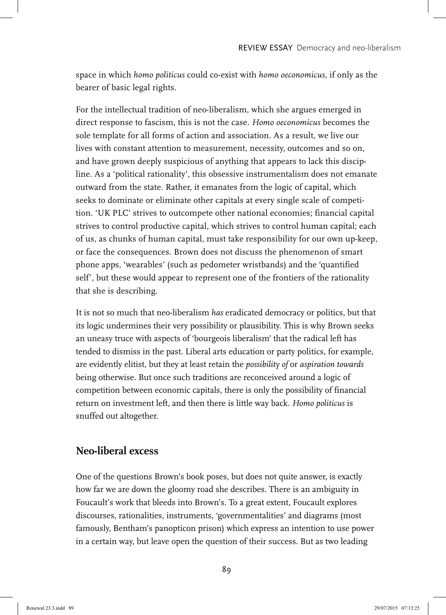space in which *homo politicus* could co-exist with *homo oeconomicus*, if only as the bearer of basic legal rights.

For the intellectual tradition of neo-liberalism, which she argues emerged in direct response to fascism, this is not the case. *Homo oeconomicus* becomes the sole template for all forms of action and association. As a result, we live our lives with constant attention to measurement, necessity, outcomes and so on, and have grown deeply suspicious of anything that appears to lack this discipline. As a 'political rationality', this obsessive instrumentalism does not emanate outward from the state. Rather, it emanates from the logic of capital, which seeks to dominate or eliminate other capitals at every single scale of competition. 'UK PLC' strives to outcompete other national economies; financial capital strives to control productive capital, which strives to control human capital; each of us, as chunks of human capital, must take responsibility for our own up-keep, or face the consequences. Brown does not discuss the phenomenon of smart phone apps, 'wearables' (such as pedometer wristbands) and the 'quantified self', but these would appear to represent one of the frontiers of the rationality that she is describing.

It is not so much that neo-liberalism *has* eradicated democracy or politics, but that its logic undermines their very possibility or plausibility. This is why Brown seeks an uneasy truce with aspects of 'bourgeois liberalism' that the radical left has tended to dismiss in the past. Liberal arts education or party politics, for example, are evidently elitist, but they at least retain the *possibility of* or *aspiration towards* being otherwise. But once such traditions are reconceived around a logic of competition between economic capitals, there is only the possibility of financial return on investment left, and then there is little way back. *Homo politicus* is snuffed out altogether.

## **Neo-liberal excess**

One of the questions Brown's book poses, but does not quite answer, is exactly how far we are down the gloomy road she describes. There is an ambiguity in Foucault's work that bleeds into Brown's. To a great extent, Foucault explores discourses, rationalities, instruments, 'governmentalities' and diagrams (most famously, Bentham's panopticon prison) which express an intention to use power in a certain way, but leave open the question of their success. But as two leading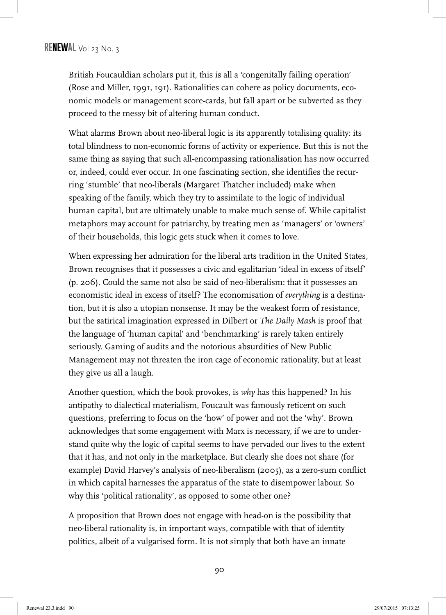British Foucauldian scholars put it, this is all a 'congenitally failing operation' (Rose and Miller, 1991, 191). Rationalities can cohere as policy documents, economic models or management score-cards, but fall apart or be subverted as they proceed to the messy bit of altering human conduct.

What alarms Brown about neo-liberal logic is its apparently totalising quality: its total blindness to non-economic forms of activity or experience. But this is not the same thing as saying that such all-encompassing rationalisation has now occurred or, indeed, could ever occur. In one fascinating section, she identifies the recurring 'stumble' that neo-liberals (Margaret Thatcher included) make when speaking of the family, which they try to assimilate to the logic of individual human capital, but are ultimately unable to make much sense of. While capitalist metaphors may account for patriarchy, by treating men as 'managers' or 'owners' of their households, this logic gets stuck when it comes to love.

When expressing her admiration for the liberal arts tradition in the United States, Brown recognises that it possesses a civic and egalitarian 'ideal in excess of itself' (p. 206). Could the same not also be said of neo-liberalism: that it possesses an economistic ideal in excess of itself? The economisation of *everything* is a destination, but it is also a utopian nonsense. It may be the weakest form of resistance, but the satirical imagination expressed in Dilbert or *The Daily Mash* is proof that the language of 'human capital' and 'benchmarking' is rarely taken entirely seriously. Gaming of audits and the notorious absurdities of New Public Management may not threaten the iron cage of economic rationality, but at least they give us all a laugh.

Another question, which the book provokes, is *why* has this happened? In his antipathy to dialectical materialism, Foucault was famously reticent on such questions, preferring to focus on the 'how' of power and not the 'why'. Brown acknowledges that some engagement with Marx is necessary, if we are to understand quite why the logic of capital seems to have pervaded our lives to the extent that it has, and not only in the marketplace. But clearly she does not share (for example) David Harvey's analysis of neo-liberalism (2005), as a zero-sum conflict in which capital harnesses the apparatus of the state to disempower labour. So why this 'political rationality', as opposed to some other one?

A proposition that Brown does not engage with head-on is the possibility that neo-liberal rationality is, in important ways, compatible with that of identity politics, albeit of a vulgarised form. It is not simply that both have an innate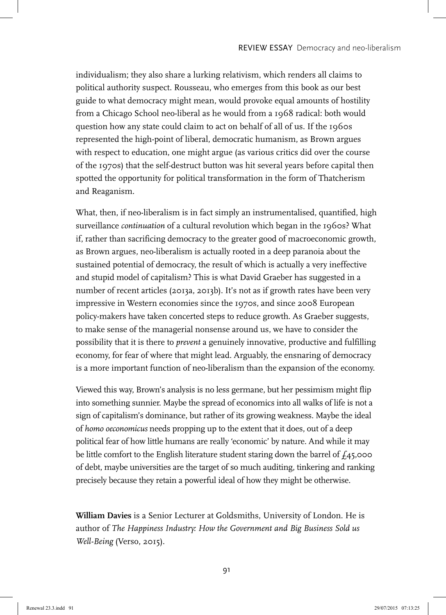individualism; they also share a lurking relativism, which renders all claims to political authority suspect. Rousseau, who emerges from this book as our best guide to what democracy might mean, would provoke equal amounts of hostility from a Chicago School neo-liberal as he would from a 1968 radical: both would question how any state could claim to act on behalf of all of us. If the 1960s represented the high-point of liberal, democratic humanism, as Brown argues with respect to education, one might argue (as various critics did over the course of the 1970s) that the self-destruct button was hit several years before capital then spotted the opportunity for political transformation in the form of Thatcherism and Reaganism.

What, then, if neo-liberalism is in fact simply an instrumentalised, quantified, high surveillance *continuation* of a cultural revolution which began in the 1960s? What if, rather than sacrificing democracy to the greater good of macroeconomic growth, as Brown argues, neo-liberalism is actually rooted in a deep paranoia about the sustained potential of democracy, the result of which is actually a very ineffective and stupid model of capitalism? This is what David Graeber has suggested in a number of recent articles (2013a, 2013b). It's not as if growth rates have been very impressive in Western economies since the 1970s, and since 2008 European policy-makers have taken concerted steps to reduce growth. As Graeber suggests, to make sense of the managerial nonsense around us, we have to consider the possibility that it is there to *prevent* a genuinely innovative, productive and fulfilling economy, for fear of where that might lead. Arguably, the ensnaring of democracy is a more important function of neo-liberalism than the expansion of the economy.

Viewed this way, Brown's analysis is no less germane, but her pessimism might flip into something sunnier. Maybe the spread of economics into all walks of life is not a sign of capitalism's dominance, but rather of its growing weakness. Maybe the ideal of *homo oeconomicus* needs propping up to the extent that it does, out of a deep political fear of how little humans are really 'economic' by nature. And while it may be little comfort to the English literature student staring down the barrel of  $f_4$ 5,000 of debt, maybe universities are the target of so much auditing, tinkering and ranking precisely because they retain a powerful ideal of how they might be otherwise.

**William Davies** is a Senior Lecturer at Goldsmiths, University of London. He is author of *The Happiness Industry: How the Government and Big Business Sold us Well-Being* (Verso, 2015).